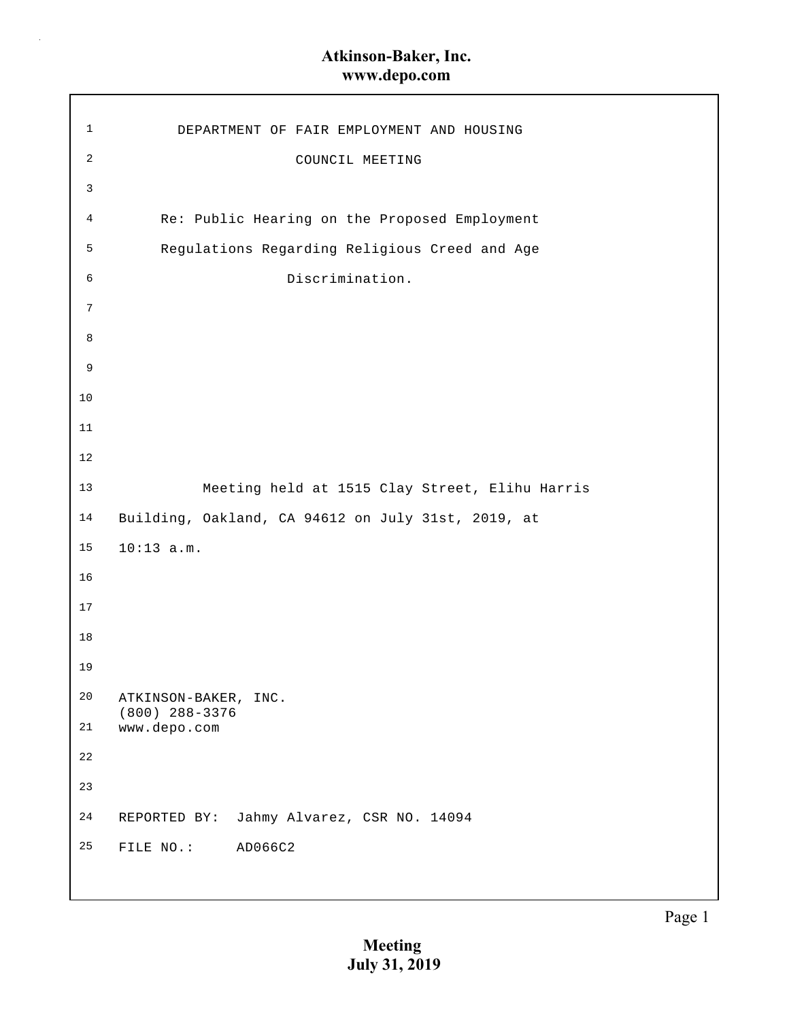$\bar{z}$ 

| 1              | DEPARTMENT OF FAIR EMPLOYMENT AND HOUSING          |
|----------------|----------------------------------------------------|
| $\mathbf{2}$   | COUNCIL MEETING                                    |
| $\mathbf{3}$   |                                                    |
| $\overline{4}$ | Re: Public Hearing on the Proposed Employment      |
| 5              | Regulations Regarding Religious Creed and Age      |
| 6              | Discrimination.                                    |
| 7              |                                                    |
| 8              |                                                    |
| 9              |                                                    |
| 10             |                                                    |
| 11             |                                                    |
| 12             |                                                    |
| 13             | Meeting held at 1515 Clay Street, Elihu Harris     |
| 14             | Building, Oakland, CA 94612 on July 31st, 2019, at |
| 15             | $10:13$ a.m.                                       |
| 16             |                                                    |
| 17             |                                                    |
| 18             |                                                    |
| 19             |                                                    |
| 20             | ATKINSON-BAKER, INC.<br>$(800)$ 288-3376           |
| $2\sqrt{1}$    | www.depo.com                                       |
| 22             |                                                    |
| 23             |                                                    |
| 24             | REPORTED BY: Jahmy Alvarez, CSR NO. 14094          |
| 25             | FILE NO.:<br>AD066C2                               |
|                |                                                    |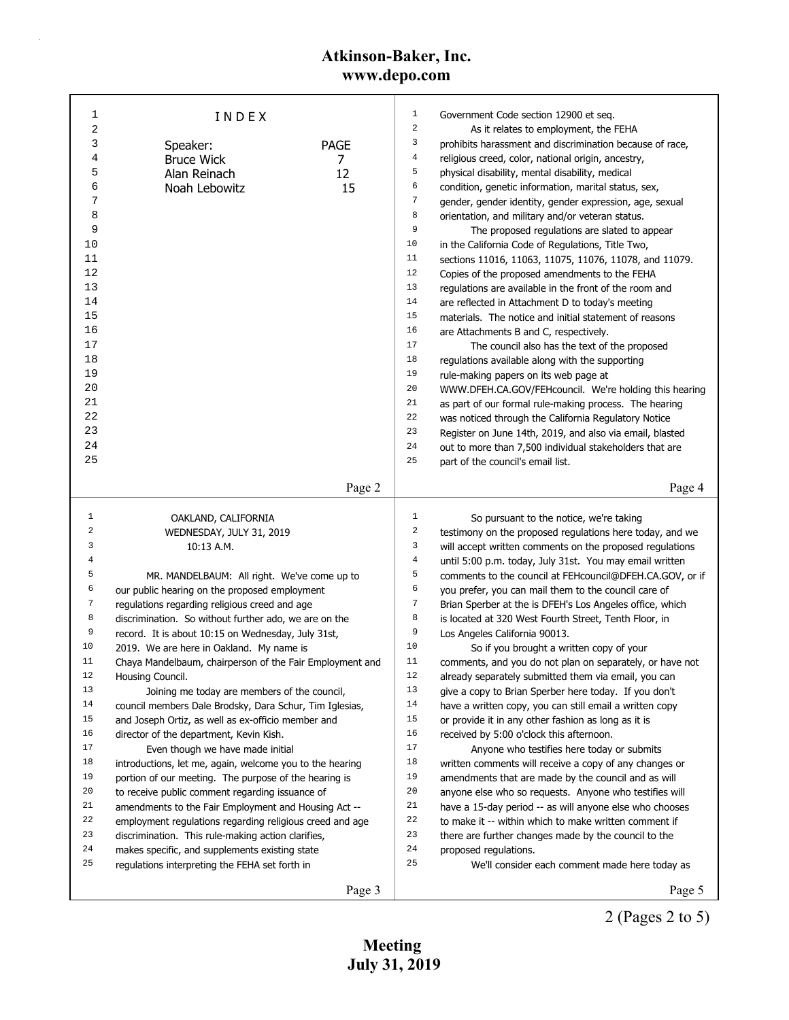| 1              | INDEX                                                    |             | $\mathbf{1}$     | Government Code section 12900 et seq.                    |
|----------------|----------------------------------------------------------|-------------|------------------|----------------------------------------------------------|
| $\overline{c}$ |                                                          |             | $\boldsymbol{2}$ | As it relates to employment, the FEHA                    |
| 3              | Speaker:                                                 | <b>PAGE</b> | 3                | prohibits harassment and discrimination because of race, |
| 4              | <b>Bruce Wick</b>                                        | 7           | $\overline{4}$   | religious creed, color, national origin, ancestry,       |
| 5              | Alan Reinach                                             | 12          | 5                | physical disability, mental disability, medical          |
| 6              | Noah Lebowitz                                            | 15          | 6                | condition, genetic information, marital status, sex,     |
| 7              |                                                          |             | 7                | gender, gender identity, gender expression, age, sexual  |
| 8              |                                                          |             | 8                | orientation, and military and/or veteran status.         |
| 9              |                                                          |             | 9                | The proposed regulations are slated to appear            |
| 10             |                                                          |             | 10               | in the California Code of Regulations, Title Two,        |
| 11             |                                                          |             | 11               | sections 11016, 11063, 11075, 11076, 11078, and 11079.   |
| 12             |                                                          |             | 12               | Copies of the proposed amendments to the FEHA            |
| 13             |                                                          |             | 13               | regulations are available in the front of the room and   |
| 14             |                                                          |             | 14               | are reflected in Attachment D to today's meeting         |
| 15             |                                                          |             | 15               | materials. The notice and initial statement of reasons   |
| 16             |                                                          |             | 16               | are Attachments B and C, respectively.                   |
| 17             |                                                          |             | 17               | The council also has the text of the proposed            |
| 18             |                                                          |             | 18               | regulations available along with the supporting          |
| 19             |                                                          |             | 19               | rule-making papers on its web page at                    |
| 20             |                                                          |             | 20               | WWW.DFEH.CA.GOV/FEHcouncil. We're holding this hearing   |
| 21             |                                                          |             | 21               | as part of our formal rule-making process. The hearing   |
| 22             |                                                          |             | 22               | was noticed through the California Regulatory Notice     |
| 23             |                                                          |             | 23               | Register on June 14th, 2019, and also via email, blasted |
| 24             |                                                          |             | 24               | out to more than 7,500 individual stakeholders that are  |
| 25             |                                                          |             | 25               | part of the council's email list.                        |
|                |                                                          |             |                  |                                                          |
|                |                                                          | Page 2      |                  | Page 4                                                   |
|                |                                                          |             |                  |                                                          |
| 1              | OAKLAND, CALIFORNIA                                      |             | $\mathbf 1$      | So pursuant to the notice, we're taking                  |
| 2              | WEDNESDAY, JULY 31, 2019                                 |             | $\boldsymbol{2}$ | testimony on the proposed regulations here today, and we |
| 3              | 10:13 A.M.                                               |             | 3                | will accept written comments on the proposed regulations |
| 4              |                                                          |             | $\,4$            | until 5:00 p.m. today, July 31st. You may email written  |
| 5              | MR. MANDELBAUM: All right. We've come up to              |             | 5                | comments to the council at FEHcouncil@DFEH.CA.GOV, or if |
| 6              | our public hearing on the proposed employment            |             | 6                | you prefer, you can mail them to the council care of     |
| 7              | regulations regarding religious creed and age            |             | $\boldsymbol{7}$ | Brian Sperber at the is DFEH's Los Angeles office, which |
| 8              | discrimination. So without further ado, we are on the    |             | 8                | is located at 320 West Fourth Street, Tenth Floor, in    |
| 9              | record. It is about 10:15 on Wednesday, July 31st,       |             | 9                | Los Angeles California 90013.                            |
| 10             | 2019. We are here in Oakland. My name is                 |             | 10               | So if you brought a written copy of your                 |
| 11             | Chaya Mandelbaum, chairperson of the Fair Employment and |             | 11               | comments, and you do not plan on separately, or have not |
| 12             | Housing Council.                                         |             | 12               | already separately submitted them via email, you can     |
| 13             | Joining me today are members of the council,             |             | 13               | give a copy to Brian Sperber here today. If you don't    |
| 14             | council members Dale Brodsky, Dara Schur, Tim Iglesias,  |             | 14               | have a written copy, you can still email a written copy  |
| 15             | and Joseph Ortiz, as well as ex-officio member and       |             | 15               | or provide it in any other fashion as long as it is      |
| 16             | director of the department, Kevin Kish.                  |             | 16               | received by 5:00 o'clock this afternoon.                 |
| 17             | Even though we have made initial                         |             | 17               | Anyone who testifies here today or submits               |
| 18             | introductions, let me, again, welcome you to the hearing |             | 18               | written comments will receive a copy of any changes or   |
| 19             | portion of our meeting. The purpose of the hearing is    |             | 19               | amendments that are made by the council and as will      |
| 20             | to receive public comment regarding issuance of          |             | 20               | anyone else who so requests. Anyone who testifies will   |
| 21             | amendments to the Fair Employment and Housing Act --     |             | 21               | have a 15-day period -- as will anyone else who chooses  |
| 22             | employment regulations regarding religious creed and age |             | 22               | to make it -- within which to make written comment if    |
| 23             | discrimination. This rule-making action clarifies,       |             | 23               | there are further changes made by the council to the     |
| 24             | makes specific, and supplements existing state           |             | 24               | proposed regulations.                                    |
| 25             | regulations interpreting the FEHA set forth in           |             | 25               | We'll consider each comment made here today as           |

2 (Pages 2 to 5) Page 5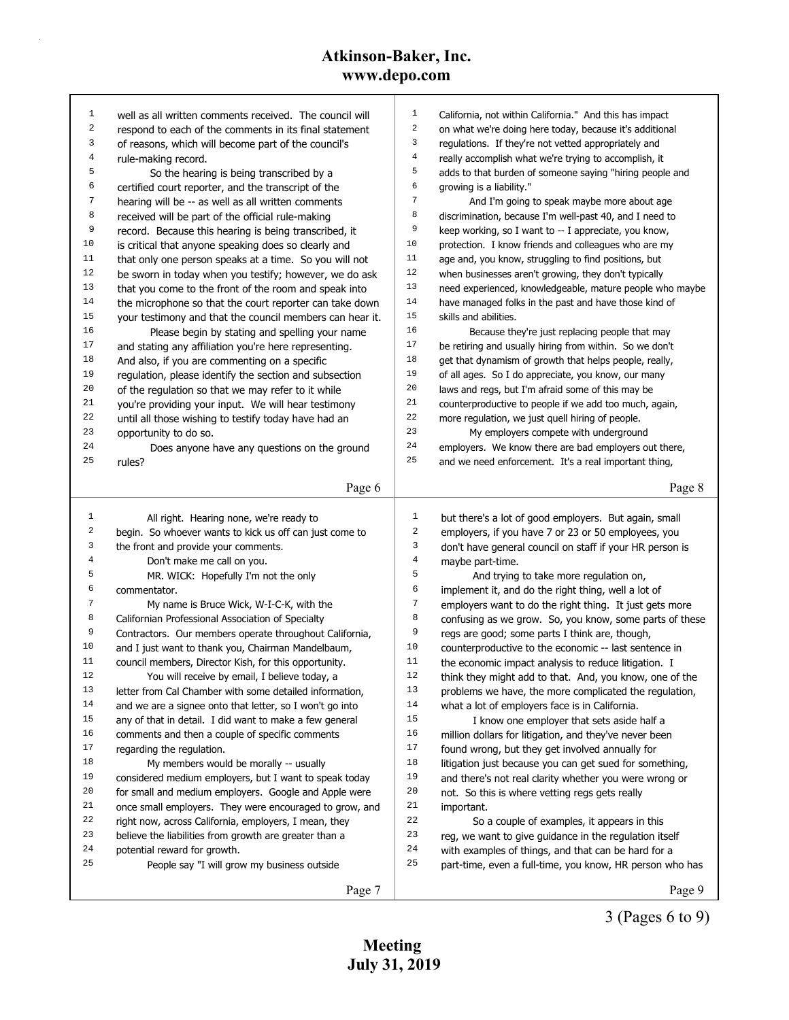| 1              | well as all written comments received. The council will                     | $\mathbf 1$      | California, not within California." And this has impact            |
|----------------|-----------------------------------------------------------------------------|------------------|--------------------------------------------------------------------|
| $\sqrt{2}$     |                                                                             | $\,2$            |                                                                    |
| 3              | respond to each of the comments in its final statement                      | 3                | on what we're doing here today, because it's additional            |
| $\,4$          | of reasons, which will become part of the council's                         | $\,4$            | regulations. If they're not vetted appropriately and               |
| 5              | rule-making record.                                                         | 5                | really accomplish what we're trying to accomplish, it              |
|                | So the hearing is being transcribed by a                                    | 6                | adds to that burden of someone saying "hiring people and           |
| 6              | certified court reporter, and the transcript of the                         | 7                | growing is a liability."                                           |
| 7              | hearing will be -- as well as all written comments                          |                  | And I'm going to speak maybe more about age                        |
| 8              | received will be part of the official rule-making                           | 8                | discrimination, because I'm well-past 40, and I need to            |
| 9              | record. Because this hearing is being transcribed, it                       | 9                | keep working, so I want to -- I appreciate, you know,              |
| 10             | is critical that anyone speaking does so clearly and                        | 10               | protection. I know friends and colleagues who are my               |
| 11             | that only one person speaks at a time. So you will not                      | 11               | age and, you know, struggling to find positions, but               |
| 12             | be sworn in today when you testify; however, we do ask                      | 12               | when businesses aren't growing, they don't typically               |
| 13             | that you come to the front of the room and speak into                       | 13               | need experienced, knowledgeable, mature people who maybe           |
| 14             | the microphone so that the court reporter can take down                     | 14               | have managed folks in the past and have those kind of              |
| 15             | your testimony and that the council members can hear it.                    | 15               | skills and abilities.                                              |
| 16             | Please begin by stating and spelling your name                              | 16               | Because they're just replacing people that may                     |
| 17             | and stating any affiliation you're here representing.                       | 17               | be retiring and usually hiring from within. So we don't            |
| 18             | And also, if you are commenting on a specific                               | 18               | get that dynamism of growth that helps people, really,             |
| 19             | regulation, please identify the section and subsection                      | 19               | of all ages. So I do appreciate, you know, our many                |
| 20             | of the regulation so that we may refer to it while                          | 20               | laws and regs, but I'm afraid some of this may be                  |
| 21             | you're providing your input. We will hear testimony                         | 21               | counterproductive to people if we add too much, again,             |
| 22             | until all those wishing to testify today have had an                        | 22               | more regulation, we just quell hiring of people.                   |
| 23             | opportunity to do so.                                                       | 23               | My employers compete with underground                              |
| 24             | Does anyone have any questions on the ground                                | 24               | employers. We know there are bad employers out there,              |
| 25             | rules?                                                                      | 25               | and we need enforcement. It's a real important thing,              |
|                |                                                                             |                  |                                                                    |
|                | Page 6                                                                      |                  | Page 8                                                             |
|                |                                                                             |                  |                                                                    |
|                |                                                                             |                  |                                                                    |
| $\mathbf{1}$   | All right. Hearing none, we're ready to                                     | $\mathbf{1}$     | but there's a lot of good employers. But again, small              |
| 2              | begin. So whoever wants to kick us off can just come to                     | $\boldsymbol{2}$ | employers, if you have 7 or 23 or 50 employees, you                |
| 3              | the front and provide your comments.                                        | 3                | don't have general council on staff if your HR person is           |
| $\overline{4}$ | Don't make me call on you.                                                  | $\,4$            | maybe part-time.                                                   |
| 5              | MR. WICK: Hopefully I'm not the only                                        | 5                | And trying to take more regulation on,                             |
| 6              | commentator.                                                                | 6                | implement it, and do the right thing, well a lot of                |
| 7              | My name is Bruce Wick, W-I-C-K, with the                                    | $\overline{7}$   | employers want to do the right thing. It just gets more            |
| 8              | Californian Professional Association of Specialty                           | 8                | confusing as we grow. So, you know, some parts of these            |
| 9              | Contractors. Our members operate throughout California,                     | 9                | regs are good; some parts I think are, though,                     |
| 10             | and I just want to thank you, Chairman Mandelbaum,                          | 10               | counterproductive to the economic -- last sentence in              |
| 11             | council members, Director Kish, for this opportunity.                       | $1\,1$           | the economic impact analysis to reduce litigation. I               |
| 12             | You will receive by email, I believe today, a                               | 12               | think they might add to that. And, you know, one of the            |
| 13             | letter from Cal Chamber with some detailed information,                     | 13               | problems we have, the more complicated the regulation,             |
| 14             | and we are a signee onto that letter, so I won't go into                    | 14               | what a lot of employers face is in California.                     |
| 15             | any of that in detail. I did want to make a few general                     | 15               | I know one employer that sets aside half a                         |
| 16             | comments and then a couple of specific comments                             | 16               | million dollars for litigation, and they've never been             |
| 17             | regarding the regulation.                                                   | 17               | found wrong, but they get involved annually for                    |
| 18             | My members would be morally -- usually                                      | 18               | litigation just because you can get sued for something,            |
| 19             | considered medium employers, but I want to speak today                      | 19               | and there's not real clarity whether you were wrong or             |
| 20             | for small and medium employers. Google and Apple were                       | 20               | not. So this is where vetting regs gets really                     |
| 21             | once small employers. They were encouraged to grow, and                     | 21               | important.                                                         |
| 22             | right now, across California, employers, I mean, they                       | 22               | So a couple of examples, it appears in this                        |
| 23             | believe the liabilities from growth are greater than a                      | 23               | reg, we want to give guidance in the regulation itself             |
| 24             |                                                                             | 24               |                                                                    |
| 25             | potential reward for growth.<br>People say "I will grow my business outside | 25               | with examples of things, and that can be hard for a                |
|                | Page 7                                                                      |                  | part-time, even a full-time, you know, HR person who has<br>Page 9 |

3 (Pages 6 to 9)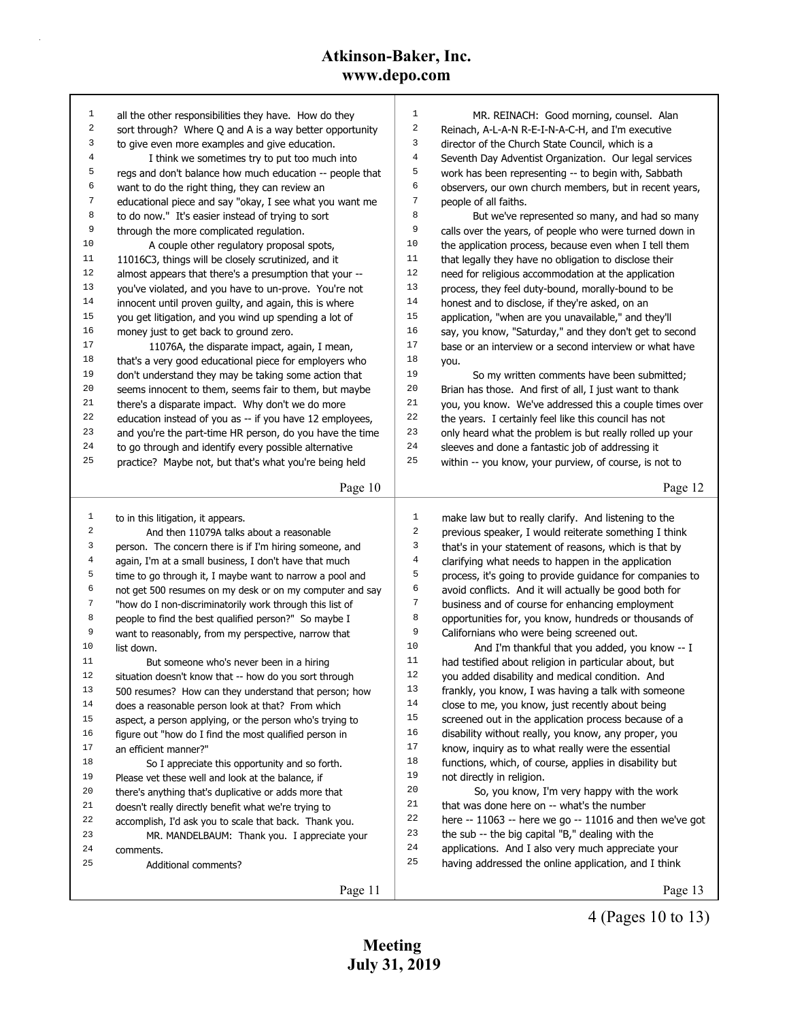| 1                | all the other responsibilities they have. How do they    | $\mathbf{1}$ | MR. REINACH: Good morning, counsel. Alan                 |
|------------------|----------------------------------------------------------|--------------|----------------------------------------------------------|
| $\boldsymbol{2}$ | sort through? Where Q and A is a way better opportunity  | 2            | Reinach, A-L-A-N R-E-I-N-A-C-H, and I'm executive        |
| 3                | to give even more examples and give education.           | 3            | director of the Church State Council, which is a         |
| 4                | I think we sometimes try to put too much into            | 4            | Seventh Day Adventist Organization. Our legal services   |
| 5                | regs and don't balance how much education -- people that | 5            | work has been representing -- to begin with, Sabbath     |
| 6                | want to do the right thing, they can review an           | 6            | observers, our own church members, but in recent years,  |
| 7                | educational piece and say "okay, I see what you want me  | 7            | people of all faiths.                                    |
| 8                | to do now." It's easier instead of trying to sort        | 8            | But we've represented so many, and had so many           |
| 9                | through the more complicated regulation.                 | 9            | calls over the years, of people who were turned down in  |
| 10               | A couple other regulatory proposal spots,                | 10           | the application process, because even when I tell them   |
| 11               | 11016C3, things will be closely scrutinized, and it      | 11           | that legally they have no obligation to disclose their   |
| 12               | almost appears that there's a presumption that your --   | 12           | need for religious accommodation at the application      |
| 13               | you've violated, and you have to un-prove. You're not    | 13           | process, they feel duty-bound, morally-bound to be       |
| 14               | innocent until proven guilty, and again, this is where   | 14           | honest and to disclose, if they're asked, on an          |
| 15               | you get litigation, and you wind up spending a lot of    | 15           | application, "when are you unavailable," and they'll     |
| 16               | money just to get back to ground zero.                   | 16           | say, you know, "Saturday," and they don't get to second  |
| 17               | 11076A, the disparate impact, again, I mean,             | 17           | base or an interview or a second interview or what have  |
| 18               | that's a very good educational piece for employers who   | 18           | you.                                                     |
| 19               | don't understand they may be taking some action that     | 19           | So my written comments have been submitted;              |
| 20               | seems innocent to them, seems fair to them, but maybe    | 20           | Brian has those. And first of all, I just want to thank  |
| 21               | there's a disparate impact. Why don't we do more         | 21           | you, you know. We've addressed this a couple times over  |
| 22               | education instead of you as -- if you have 12 employees, | 22           | the years. I certainly feel like this council has not    |
| 23               | and you're the part-time HR person, do you have the time | 23           | only heard what the problem is but really rolled up your |
| 24               | to go through and identify every possible alternative    | 24           | sleeves and done a fantastic job of addressing it        |
| 25               | practice? Maybe not, but that's what you're being held   | 25           | within -- you know, your purview, of course, is not to   |
|                  |                                                          |              |                                                          |
|                  | Page 10                                                  |              | Page 12                                                  |
|                  |                                                          |              |                                                          |
| $\mathbf{1}$     | to in this litigation, it appears.                       | 1            | make law but to really clarify. And listening to the     |
| 2                | And then 11079A talks about a reasonable                 | 2            | previous speaker, I would reiterate something I think    |
| 3                | person. The concern there is if I'm hiring someone, and  | 3            | that's in your statement of reasons, which is that by    |
| 4                | again, I'm at a small business, I don't have that much   | 4            | clarifying what needs to happen in the application       |
| 5                | time to go through it, I maybe want to narrow a pool and | 5            | process, it's going to provide guidance for companies to |
| 6                | not get 500 resumes on my desk or on my computer and say | 6            | avoid conflicts. And it will actually be good both for   |
| 7                | "how do I non-discriminatorily work through this list of | 7            | business and of course for enhancing employment          |
| 8                | people to find the best qualified person?" So maybe I    | 8            | opportunities for, you know, hundreds or thousands of    |
| 9                | want to reasonably, from my perspective, narrow that     | 9            | Californians who were being screened out.                |
| 10               | list down.                                               | 10           | And I'm thankful that you added, you know -- I           |
| 11               | But someone who's never been in a hiring                 | 11           | had testified about religion in particular about, but    |
| 12               | situation doesn't know that -- how do you sort through   | 12           | you added disability and medical condition. And          |
| 13               | 500 resumes? How can they understand that person; how    | 13           | frankly, you know, I was having a talk with someone      |
| 14               | does a reasonable person look at that? From which        | 14           | close to me, you know, just recently about being         |
| 15               | aspect, a person applying, or the person who's trying to | 15           | screened out in the application process because of a     |
| 16               | figure out "how do I find the most qualified person in   | 16           | disability without really, you know, any proper, you     |
| 17               | an efficient manner?"                                    | 17           | know, inquiry as to what really were the essential       |
| 18               | So I appreciate this opportunity and so forth.           | 18           | functions, which, of course, applies in disability but   |
| 19               | Please vet these well and look at the balance, if        | 19           | not directly in religion.                                |
| 20               |                                                          | 20           | So, you know, I'm very happy with the work               |
| 21               | there's anything that's duplicative or adds more that    |              |                                                          |
| 22               | doesn't really directly benefit what we're trying to     | 21           | that was done here on -- what's the number               |
|                  | accomplish, I'd ask you to scale that back. Thank you.   | 22           | here -- 11063 -- here we go -- 11016 and then we've got  |
| 23               | MR. MANDELBAUM: Thank you. I appreciate your             | 23           | the sub -- the big capital "B," dealing with the         |
| 24               | comments.                                                | 24           | applications. And I also very much appreciate your       |
| 25               | Additional comments?                                     | 25           | having addressed the online application, and I think     |
|                  | Page 11                                                  |              | Page 13                                                  |

4 (Pages 10 to 13)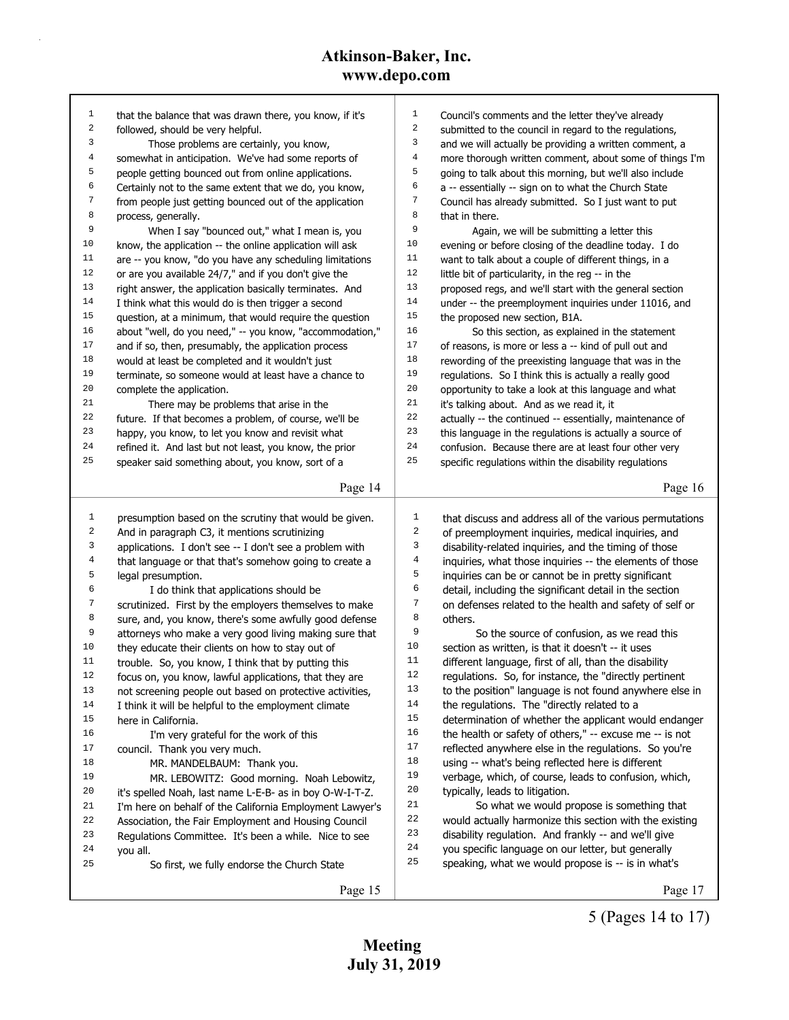| 1                       | that the balance that was drawn there, you know, if it's | 1                       | Council's comments and the letter they've already             |
|-------------------------|----------------------------------------------------------|-------------------------|---------------------------------------------------------------|
| 2                       | followed, should be very helpful.                        | 2                       | submitted to the council in regard to the regulations,        |
| 3                       | Those problems are certainly, you know,                  | 3                       | and we will actually be providing a written comment, a        |
| $\overline{\mathbf{4}}$ | somewhat in anticipation. We've had some reports of      | $\overline{4}$          | more thorough written comment, about some of things I'm       |
| 5                       | people getting bounced out from online applications.     | 5                       | going to talk about this morning, but we'll also include      |
| 6                       | Certainly not to the same extent that we do, you know,   | 6                       | a -- essentially -- sign on to what the Church State          |
| 7                       | from people just getting bounced out of the application  | 7                       | Council has already submitted. So I just want to put          |
| 8                       | process, generally.                                      | 8                       | that in there.                                                |
| 9                       | When I say "bounced out," what I mean is, you            | 9                       | Again, we will be submitting a letter this                    |
| $10\,$                  | know, the application -- the online application will ask | 10                      | evening or before closing of the deadline today. I do         |
| $11\,$                  | are -- you know, "do you have any scheduling limitations | 11                      | want to talk about a couple of different things, in a         |
| 12                      | or are you available 24/7," and if you don't give the    | 12                      | little bit of particularity, in the reg -- in the             |
| 13                      | right answer, the application basically terminates. And  | 13                      | proposed regs, and we'll start with the general section       |
| 14                      | I think what this would do is then trigger a second      | 14                      | under -- the preemployment inquiries under 11016, and         |
| $15\,$                  | question, at a minimum, that would require the question  | $15$                    | the proposed new section, B1A.                                |
| 16                      | about "well, do you need," -- you know, "accommodation," | 16                      | So this section, as explained in the statement                |
| 17                      | and if so, then, presumably, the application process     | 17                      | of reasons, is more or less a -- kind of pull out and         |
| $18\,$                  | would at least be completed and it wouldn't just         | $18\,$                  | rewording of the preexisting language that was in the         |
| 19                      | terminate, so someone would at least have a chance to    | 19                      | regulations. So I think this is actually a really good        |
| $20\,$                  | complete the application.                                | 20                      | opportunity to take a look at this language and what          |
| $2\sqrt{1}$             | There may be problems that arise in the                  | $2\sqrt{1}$             | it's talking about. And as we read it, it                     |
| 22                      | future. If that becomes a problem, of course, we'll be   | 22                      | actually -- the continued -- essentially, maintenance of      |
| 23                      | happy, you know, to let you know and revisit what        | 23                      | this language in the regulations is actually a source of      |
| 24                      | refined it. And last but not least, you know, the prior  | 24                      | confusion. Because there are at least four other very         |
| 25                      | speaker said something about, you know, sort of a        | 25                      | specific regulations within the disability regulations        |
|                         | Page 14                                                  |                         | Page 16                                                       |
|                         |                                                          |                         |                                                               |
|                         |                                                          |                         |                                                               |
| 1                       | presumption based on the scrutiny that would be given.   | 1                       | that discuss and address all of the various permutations      |
| 2                       | And in paragraph C3, it mentions scrutinizing            | 2                       | of preemployment inquiries, medical inquiries, and            |
| 3                       | applications. I don't see -- I don't see a problem with  | 3                       | disability-related inquiries, and the timing of those         |
| 4                       | that language or that that's somehow going to create a   | $\overline{\mathbf{4}}$ | inquiries, what those inquiries -- the elements of those      |
| 5                       | legal presumption.                                       | 5                       | inquiries can be or cannot be in pretty significant           |
| б                       | I do think that applications should be                   | 6                       | detail, including the significant detail in the section       |
| 7                       | scrutinized. First by the employers themselves to make   | 7                       | on defenses related to the health and safety of self or       |
| 8                       | sure, and, you know, there's some awfully good defense   | 8                       | others.                                                       |
| 9                       | attorneys who make a very good living making sure that   | 9                       | So the source of confusion, as we read this                   |
| $10$                    | they educate their clients on how to stay out of         | $10$                    | section as written, is that it doesn't -- it uses             |
| 11                      | trouble. So, you know, I think that by putting this      | 11                      | different language, first of all, than the disability         |
| 12                      | focus on, you know, lawful applications, that they are   | 12                      | regulations. So, for instance, the "directly pertinent        |
| 13                      | not screening people out based on protective activities, | 13                      | to the position" language is not found anywhere else in       |
| 14                      | I think it will be helpful to the employment climate     | $1\,4$                  | the regulations. The "directly related to a                   |
| 15                      | here in California.                                      | 15                      | determination of whether the applicant would endanger         |
| 16                      | I'm very grateful for the work of this                   | 16                      | the health or safety of others," -- excuse me -- is not       |
| 17                      | council. Thank you very much.                            | 17                      | reflected anywhere else in the regulations. So you're         |
| 18                      | MR. MANDELBAUM: Thank you.                               | 18                      | using -- what's being reflected here is different             |
| 19                      | MR. LEBOWITZ: Good morning. Noah Lebowitz,               | 19                      | verbage, which, of course, leads to confusion, which,         |
| 20                      | it's spelled Noah, last name L-E-B- as in boy O-W-I-T-Z. | $20$<br>$2\sqrt{1}$     | typically, leads to litigation.                               |
| 21                      | I'm here on behalf of the California Employment Lawyer's | 22                      | So what we would propose is something that                    |
| 22                      | Association, the Fair Employment and Housing Council     | 23                      | would actually harmonize this section with the existing       |
| 23                      | Regulations Committee. It's been a while. Nice to see    | 24                      | disability regulation. And frankly -- and we'll give          |
| 24<br>25                | you all.                                                 | $25\,$                  | you specific language on our letter, but generally            |
|                         | So first, we fully endorse the Church State<br>Page 15   |                         | speaking, what we would propose is -- is in what's<br>Page 17 |

5 (Pages 14 to 17)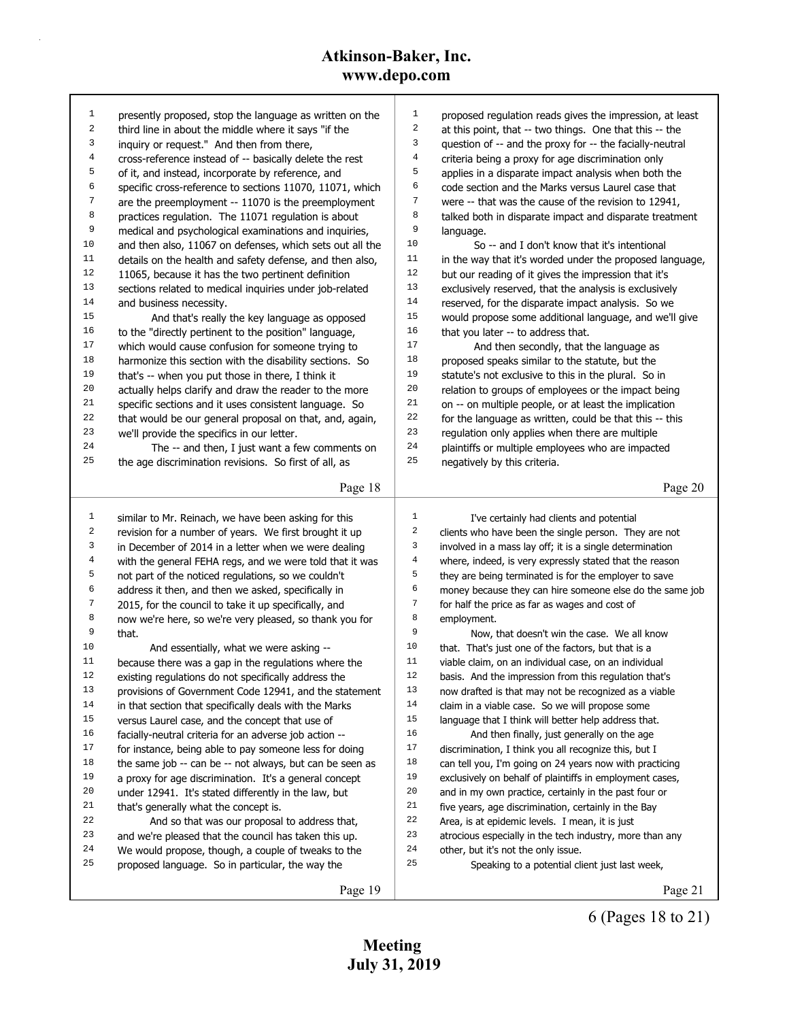| 1              | presently proposed, stop the language as written on the  | 1<br>proposed regulation reads gives the impression, at least             |
|----------------|----------------------------------------------------------|---------------------------------------------------------------------------|
| 2              | third line in about the middle where it says "if the     | 2<br>at this point, that -- two things. One that this -- the              |
| 3              | inquiry or request." And then from there,                | 3<br>question of -- and the proxy for -- the facially-neutral             |
| $\,4$          | cross-reference instead of -- basically delete the rest  | 4<br>criteria being a proxy for age discrimination only                   |
| 5              | of it, and instead, incorporate by reference, and        | 5<br>applies in a disparate impact analysis when both the                 |
| 6              | specific cross-reference to sections 11070, 11071, which | 6<br>code section and the Marks versus Laurel case that                   |
| 7              | are the preemployment -- 11070 is the preemployment      | 7<br>were -- that was the cause of the revision to 12941,                 |
| 8              | practices regulation. The 11071 regulation is about      | 8<br>talked both in disparate impact and disparate treatment              |
| 9              | medical and psychological examinations and inquiries,    | 9<br>language.                                                            |
| 10             | and then also, 11067 on defenses, which sets out all the | 10<br>So -- and I don't know that it's intentional                        |
| 11             | details on the health and safety defense, and then also, | 11<br>in the way that it's worded under the proposed language,            |
| 12             | 11065, because it has the two pertinent definition       | 12<br>but our reading of it gives the impression that it's                |
| 13             | sections related to medical inquiries under job-related  | 13<br>exclusively reserved, that the analysis is exclusively              |
| 14             | and business necessity.                                  | 14<br>reserved, for the disparate impact analysis. So we                  |
| 15             | And that's really the key language as opposed            | 15<br>would propose some additional language, and we'll give              |
| 16             | to the "directly pertinent to the position" language,    | 16<br>that you later -- to address that.                                  |
| 17             | which would cause confusion for someone trying to        | 17<br>And then secondly, that the language as                             |
| $1\,8$         | harmonize this section with the disability sections. So  | 18<br>proposed speaks similar to the statute, but the                     |
| 19             | that's -- when you put those in there, I think it        | 19<br>statute's not exclusive to this in the plural. So in                |
| 20             | actually helps clarify and draw the reader to the more   | 20<br>relation to groups of employees or the impact being                 |
| 21             | specific sections and it uses consistent language. So    | 21<br>on -- on multiple people, or at least the implication               |
| 22             | that would be our general proposal on that, and, again,  | 22<br>for the language as written, could be that this -- this             |
| 23             | we'll provide the specifics in our letter.               | 23<br>regulation only applies when there are multiple                     |
| 24             | The -- and then, I just want a few comments on           | 24<br>plaintiffs or multiple employees who are impacted                   |
| 25             | the age discrimination revisions. So first of all, as    | 25<br>negatively by this criteria.                                        |
|                |                                                          |                                                                           |
|                | Page 18                                                  | Page 20                                                                   |
|                |                                                          |                                                                           |
|                |                                                          |                                                                           |
| 1              | similar to Mr. Reinach, we have been asking for this     | $\mathbf{1}$<br>I've certainly had clients and potential                  |
| 2              | revision for a number of years. We first brought it up   | $\boldsymbol{2}$<br>clients who have been the single person. They are not |
| 3              | in December of 2014 in a letter when we were dealing     | 3<br>involved in a mass lay off; it is a single determination             |
| $\overline{4}$ | with the general FEHA regs, and we were told that it was | $\overline{4}$<br>where, indeed, is very expressly stated that the reason |
| 5              | not part of the noticed regulations, so we couldn't      | 5<br>they are being terminated is for the employer to save                |
| 6              | address it then, and then we asked, specifically in      | 6<br>money because they can hire someone else do the same job             |
| 7              | 2015, for the council to take it up specifically, and    | $\sqrt{ }$<br>for half the price as far as wages and cost of              |
| 8              | now we're here, so we're very pleased, so thank you for  | 8<br>employment.                                                          |
| 9              | that.                                                    | 9<br>Now, that doesn't win the case. We all know                          |
| 10             | And essentially, what we were asking --                  | $10$<br>that. That's just one of the factors, but that is a               |
| 11             | because there was a gap in the regulations where the     | 11<br>viable claim, on an individual case, on an individual               |
| $12\,$         | existing regulations do not specifically address the     | $12$<br>basis. And the impression from this regulation that's             |
| 13             | provisions of Government Code 12941, and the statement   | 13<br>now drafted is that may not be recognized as a viable               |
| 14             | in that section that specifically deals with the Marks   | $1\,4$<br>claim in a viable case. So we will propose some                 |
| 15             | versus Laurel case, and the concept that use of          | 15<br>language that I think will better help address that.                |
| 16             | facially-neutral criteria for an adverse job action --   | 16<br>And then finally, just generally on the age                         |
| 17             | for instance, being able to pay someone less for doing   | $17\,$<br>discrimination, I think you all recognize this, but I           |
| 18             | the same job -- can be -- not always, but can be seen as | 18<br>can tell you, I'm going on 24 years now with practicing             |
| 19             | a proxy for age discrimination. It's a general concept   | 19<br>exclusively on behalf of plaintiffs in employment cases,            |
| 20             | under 12941. It's stated differently in the law, but     | 20<br>and in my own practice, certainly in the past four or               |
| 21             | that's generally what the concept is.                    | 21<br>five years, age discrimination, certainly in the Bay                |
| 22             | And so that was our proposal to address that,            | 22<br>Area, is at epidemic levels. I mean, it is just                     |
| 23             | and we're pleased that the council has taken this up.    | 23<br>atrocious especially in the tech industry, more than any            |
| 24             | We would propose, though, a couple of tweaks to the      | 24<br>other, but it's not the only issue.                                 |
| 25             | proposed language. So in particular, the way the         | 25<br>Speaking to a potential client just last week,                      |
|                | Page 19                                                  | Page 21                                                                   |

6 (Pages 18 to 21)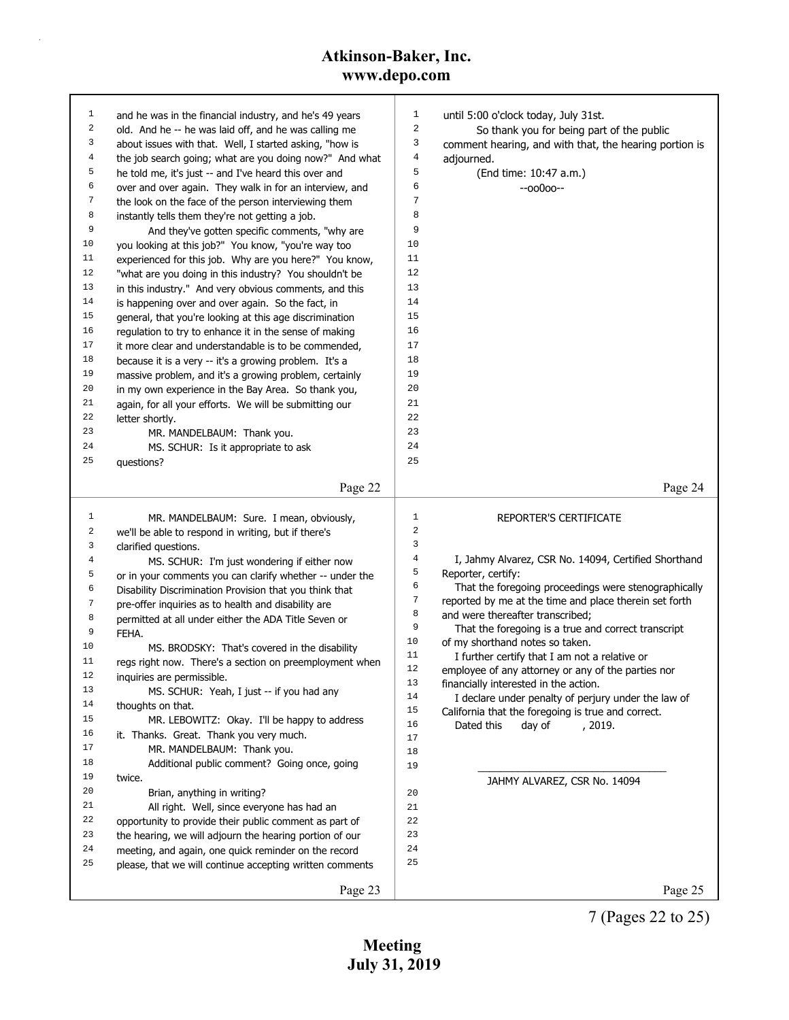| 1  | and he was in the financial industry, and he's 49 years  | 1                              | until 5:00 o'clock today, July 31st.                                       |
|----|----------------------------------------------------------|--------------------------------|----------------------------------------------------------------------------|
| 2  | old. And he -- he was laid off, and he was calling me    | $\sqrt{2}$                     | So thank you for being part of the public                                  |
| 3  | about issues with that. Well, I started asking, "how is  | 3                              | comment hearing, and with that, the hearing portion is                     |
| 4  | the job search going; what are you doing now?" And what  | 4                              | adjourned.                                                                 |
| 5  | he told me, it's just -- and I've heard this over and    | 5                              | (End time: 10:47 a.m.)                                                     |
| 6  | over and over again. They walk in for an interview, and  | 6                              | $-00000-$                                                                  |
| 7  | the look on the face of the person interviewing them     | 7                              |                                                                            |
| 8  | instantly tells them they're not getting a job.          | 8                              |                                                                            |
| 9  | And they've gotten specific comments, "why are           | 9                              |                                                                            |
| 10 | you looking at this job?" You know, "you're way too      | 10                             |                                                                            |
| 11 | experienced for this job. Why are you here?" You know,   | 11                             |                                                                            |
| 12 | "what are you doing in this industry? You shouldn't be   | 12                             |                                                                            |
| 13 | in this industry." And very obvious comments, and this   | 13                             |                                                                            |
| 14 | is happening over and over again. So the fact, in        | 14                             |                                                                            |
| 15 | general, that you're looking at this age discrimination  | 15                             |                                                                            |
| 16 | regulation to try to enhance it in the sense of making   | 16                             |                                                                            |
| 17 | it more clear and understandable is to be commended,     | 17                             |                                                                            |
| 18 | because it is a very -- it's a growing problem. It's a   | 18                             |                                                                            |
| 19 | massive problem, and it's a growing problem, certainly   | 19                             |                                                                            |
| 20 | in my own experience in the Bay Area. So thank you,      | 20                             |                                                                            |
| 21 | again, for all your efforts. We will be submitting our   | 21                             |                                                                            |
| 22 | letter shortly.                                          | 22                             |                                                                            |
| 23 | MR. MANDELBAUM: Thank you.                               | 23                             |                                                                            |
| 24 | MS. SCHUR: Is it appropriate to ask                      | 24                             |                                                                            |
| 25 | questions?                                               | 25                             |                                                                            |
|    |                                                          |                                |                                                                            |
|    | Page 22                                                  |                                | Page 24                                                                    |
|    |                                                          |                                |                                                                            |
| 1  | MR. MANDELBAUM: Sure. I mean, obviously,                 | $\mathbf{1}$<br>$\overline{a}$ | REPORTER'S CERTIFICATE                                                     |
| 2  | we'll be able to respond in writing, but if there's      | 3                              |                                                                            |
| 3  | clarified questions.                                     | 4                              |                                                                            |
| 4  | MS. SCHUR: I'm just wondering if either now              | 5                              | I, Jahmy Alvarez, CSR No. 14094, Certified Shorthand                       |
| 5  | or in your comments you can clarify whether -- under the | 6                              | Reporter, certify:<br>That the foregoing proceedings were stenographically |
| 6  | Disability Discrimination Provision that you think that  | 7                              | reported by me at the time and place therein set forth                     |
| 7  | pre-offer inquiries as to health and disability are      | 8                              | and were thereafter transcribed;                                           |
| 8  | permitted at all under either the ADA Title Seven or     | 9                              | That the foregoing is a true and correct transcript                        |
| 9  | FEHA.                                                    | 10                             | of my shorthand notes so taken.                                            |
| 10 | MS. BRODSKY: That's covered in the disability            | 11                             | I further certify that I am not a relative or                              |
| 11 | regs right now. There's a section on preemployment when  | 12                             | employee of any attorney or any of the parties nor                         |
| 12 | inquiries are permissible.                               | 13                             | financially interested in the action.                                      |
| 13 | MS. SCHUR: Yeah, I just -- if you had any                | 14                             | I declare under penalty of perjury under the law of                        |
| 14 | thoughts on that.                                        | 15                             | California that the foregoing is true and correct.                         |
| 15 | MR. LEBOWITZ: Okay. I'll be happy to address             | 16                             | Dated this<br>day of<br>, 2019.                                            |
| 16 | it. Thanks. Great. Thank you very much.                  | 17                             |                                                                            |
| 17 | MR. MANDELBAUM: Thank you.                               | 18                             |                                                                            |
| 18 | Additional public comment? Going once, going             | 19                             |                                                                            |
| 19 | twice.                                                   |                                | JAHMY ALVAREZ, CSR No. 14094                                               |
| 20 | Brian, anything in writing?                              | 20                             |                                                                            |
| 21 | All right. Well, since everyone has had an               | 21                             |                                                                            |
| 22 | opportunity to provide their public comment as part of   | 22                             |                                                                            |
| 23 | the hearing, we will adjourn the hearing portion of our  | 23                             |                                                                            |
| 24 | meeting, and again, one quick reminder on the record     | 24                             |                                                                            |
| 25 | please, that we will continue accepting written comments | 25                             |                                                                            |
|    | Page 23                                                  |                                | Page 25                                                                    |
|    |                                                          |                                |                                                                            |

7 (Pages 22 to 25)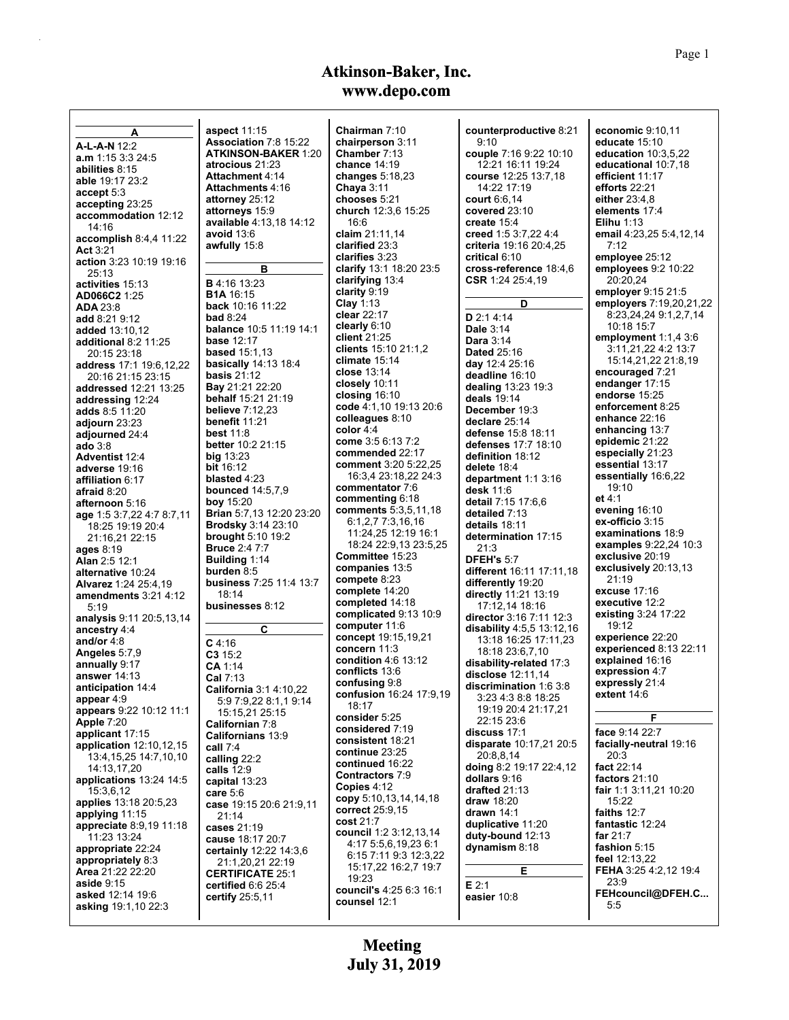| A                          | <b>aspect 11:15</b>            | Chairman 7:10           | counterproductive 8:21    | economic $9:10,11$      |
|----------------------------|--------------------------------|-------------------------|---------------------------|-------------------------|
| A-L-A-N 12:2               | Association 7:8 15:22          | chairperson 3:11        | 9:10                      | educate 15:10           |
|                            | <b>ATKINSON-BAKER 1:20</b>     | Chamber 7:13            | couple 7:16 9:22 10:10    | education 10:3,5,22     |
| <b>a.m</b> 1:15 3:3 24:5   | atrocious 21:23                | chance $14:19$          | 12:21 16:11 19:24         | educational 10:7,18     |
| abilities 8:15             | <b>Attachment 4:14</b>         | changes $5:18,23$       | course 12:25 13:7,18      | efficient 11:17         |
| <b>able</b> 19:17 23:2     | Attachments 4:16               |                         | 14:22 17:19               | efforts $22:21$         |
| accept 5:3                 |                                | Chaya $3:11$            |                           |                         |
| accepting 23:25            | attorney 25:12                 | chooses 5:21            | court $6.6, 14$           | either 23:4,8           |
| accommodation 12:12        | attorneys 15:9                 | church 12:3,6 15:25     | covered 23:10             | elements 17:4           |
| 14:16                      | available 4:13,18 14:12        | 16:6                    | create $15.4$             | <b>Elihu</b> 1:13       |
| accomplish $8.4.4$ 11:22   | avoid 13:6                     | claim 21:11,14          | creed 1:5 3:7,22 4:4      | email 4:23,25 5:4,12,14 |
|                            | awfully 15:8                   | clarified 23:3          | criteria 19:16 20:4,25    | 7:12                    |
| Act $3:21$                 |                                | clarifies 3:23          | critical 6:10             | employee 25:12          |
| action 3:23 10:19 19:16    | в                              | clarify 13:1 18:20 23:5 | cross-reference 18:4,6    | employees 9:2 10:22     |
| 25:13                      |                                |                         |                           |                         |
| activities 15:13           | <b>B</b> 4:16 13:23            | clarifying 13:4         | CSR 1:24 25:4,19          | 20:20.24                |
| AD066C2 1:25               | <b>B1A</b> 16:15               | clarity 9:19            |                           | employer 9:15 21:5      |
| <b>ADA 23:8</b>            | back 10:16 11:22               | Clay $1:13$             | D                         | employers 7:19,20,21,22 |
| <b>add</b> 8:21 9:12       | <b>bad 8:24</b>                | clear 22:17             | D 2:1 4:14                | 8:23,24,24 9:1,2,7,14   |
| <b>added</b> 13:10,12      | <b>balance</b> 10:5 11:19 14:1 | clearly $6:10$          | Dale 3:14                 | 10:18 15:7              |
|                            | <b>base 12:17</b>              | client $21:25$          | <b>Dara</b> 3:14          | employment $1:1,4,3:6$  |
| additional 8:2 11:25       |                                | clients 15:10 21:1,2    |                           | 3:11,21,22 4:2 13:7     |
| 20:15 23:18                | <b>based</b> 15:1.13           | climate $15:14$         | <b>Dated 25:16</b>        | 15:14,21,22 21:8,19     |
| address 17:1 19:6,12,22    | <b>basically</b> 14:13 18:4    |                         | day 12:4 25:16            |                         |
| 20:16 21:15 23:15          | <b>basis 21:12</b>             | close $13:14$           | deadline 16:10            | encouraged 7:21         |
| addressed 12:21 13:25      | <b>Bay</b> 21:21 22:20         | closely 10:11           | dealing 13:23 19:3        | endanger 17:15          |
| addressing 12:24           | <b>behalf</b> 15:21 21:19      | closing $16:10$         | deals 19:14               | endorse 15:25           |
| adds 8:5 11:20             | <b>believe</b> 7:12.23         | code 4:1,10 19:13 20:6  | December 19:3             | enforcement 8:25        |
|                            | benefit 11:21                  | colleagues 8:10         | declare 25:14             | enhance 22:16           |
| adjourn 23:23              |                                | color $4.4$             | defense 15:8 18:11        | enhancing 13:7          |
| adjourned 24:4             | <b>best 11:8</b>               | come 3:5 6:13 7:2       |                           | epidemic 21:22          |
| <b>ado</b> 3:8             | better 10:2 21:15              | commended 22:17         | defenses 17:7 18:10       | especially 21:23        |
| <b>Adventist 12:4</b>      | big $13:23$                    |                         | definition 18:12          |                         |
| adverse 19:16              | <b>bit</b> 16:12               | comment 3:20 5:22,25    | delete 18:4               | essential 13:17         |
| affiliation 6:17           | blasted 4:23                   | 16:3,4 23:18,22 24:3    | department 1:1 3:16       | essentially 16:6,22     |
| afraid 8:20                | <b>bounced</b> 14:5,7,9        | commentator 7:6         | desk 11:6                 | 19:10                   |
| afternoon 5:16             | <b>boy</b> 15:20               | commenting 6:18         | detail 7:15 17:6,6        | et $4.1$                |
| age 1:5 3:7,22 4:7 8:7,11  | Brian 5:7,13 12:20 23:20       | comments 5:3,5,11,18    | detailed 7:13             | evening 16:10           |
| 18:25 19:19 20:4           | <b>Brodsky</b> 3:14 23:10      | 6:1,2,7 7:3,16,16       | details 18:11             | ex-officio 3:15         |
| 21:16,21 22:15             | brought $5:10$ 19:2            | 11:24,25 12:19 16:1     | determination 17:15       | examinations 18:9       |
|                            | <b>Bruce 2:4777</b>            | 18:24 22:9,13 23:5,25   | 21:3                      | examples 9.22,24 10:3   |
| <b>ages 8:19</b>           | <b>Building 1:14</b>           | Committee 15:23         | <b>DFEH's 5:7</b>         | exclusive 20:19         |
| Alan 2:5 12:1              |                                | companies 13:5          |                           | exclusively 20:13,13    |
| alternative 10:24          | burden 8:5                     | compete 8:23            | different 16:11 17:11,18  | 21:19                   |
| Alvarez 1:24 25:4,19       | business 7:25 11:4 13:7        | complete 14:20          | differently 19:20         | excuse 17:16            |
| amendments 3:21 4:12       | 18:14                          |                         | directly 11:21 13:19      |                         |
| 5.19                       | businesses 8:12                | completed 14:18         | 17:12,14 18:16            | executive 12:2          |
| analysis 9:11 20:5,13,14   |                                | complicated 9:13 10:9   | director 3:16 7:11 12:3   | existing 3:24 17:22     |
| ancestry 4:4               | C                              | computer 11:6           | disability 4:5,5 13:12,16 | 19:12                   |
| and/or 4:8                 |                                | concept 19:15,19,21     | 13:18 16:25 17:11,23      | experience 22:20        |
| Angeles 5:7,9              | $C$ 4.16                       | concern 11:3            | 18:18 23:6,7,10           | experienced 8:13 22:11  |
|                            | C315:2                         | condition 4:6 13:12     |                           | explained 16:16         |
| annually 9:17              | CA 1:14                        | conflicts 13:6          | disability-related 17:3   | expression 4:7          |
| answer $14:13$             | Cal 7:13                       | confusing 9:8           | disclose 12:11,14         | expressly 21:4          |
| anticipation 14:4          | <b>California</b> 3:1 4:10,22  | confusion 16:24 17:9.19 | discrimination 1.6 3.8    | extent 14:6             |
| appear 4:9                 | 5:9 7:9,22 8:1,1 9:14          |                         |                           |                         |
| appears 9:22 10:12 11:1    | 15:15.21 25:15                 | 18:17                   | 19:19 20:4 21:17,21       |                         |
| Apple 7:20                 | Californian 7:8                | consider 5:25           | 22:15 23:6                | F.                      |
| applicant 17:15            | Californians 13:9              | considered 7:19         | discuss 17:1              | face 9:14 22:7          |
| application $12:10,12,15$  |                                | consistent 18:21        | disparate 10:17,21 20:5   | facially-neutral 19:16  |
| 13:4, 15, 25 14: 7, 10, 10 | call 7:4                       | continue 23:25          | 20:8,8,14                 | 20:3                    |
|                            | calling 22:2                   | continued 16:22         | doing 8:2 19:17 22:4,12   | fact 22:14              |
| 14:13.17.20                | calls $12:9$                   | Contractors 7:9         |                           |                         |
| applications 13:24 14:5    | capital 13:23                  | Copies 4:12             | dollars 9:16              | factors $21:10$         |
| 15:3,6,12                  | care $5:6$                     | copy 5:10,13,14,14,18   | drafted 21:13             | fair 1:1 3:11,21 10:20  |
| applies 13:18 20:5,23      | case 19:15 20:6 21:9,11        | correct 25:9,15         | draw 18:20                | 15:22                   |
| applying 11:15             | 21:14                          |                         | drawn $14:1$              | faiths 12:7             |
| appreciate 8.9.19 11:18    | cases 21:19                    | cost 21:7               | duplicative 11:20         | fantastic 12:24         |
| 11:23 13:24                | cause 18:17 20:7               | council 1:2 3:12,13,14  | duty-bound 12:13          | far $21:7$              |
| appropriate 22:24          | certainly 12:22 14:3,6         | 4:17 5:5,6,19,23 6:1    | dynamism 8:18             | fashion 5:15            |
| appropriately 8:3          | 21:1,20,21 22:19               | 6:15 7:11 9:3 12:3,22   |                           | feel $12:13,22$         |
| Area 21:22 22:20           |                                | 15:17,22 16:2,7 19:7    | Е                         | FEHA 3:25 4:2,12 19:4   |
| <b>aside</b> 9:15          | <b>CERTIFICATE 25:1</b>        | 19:23                   |                           | 23.9                    |
| asked 12:14 19:6           | certified 6.6 25:4             | council's 4:25 6:3 16:1 | $E$ 2:1                   | FEHcouncil@DFEH.C       |
|                            | certify 25:5,11                | counsel 12:1            | easier 10:8               |                         |
| asking 19:1,10 22:3        |                                |                         |                           | 5:5                     |
|                            |                                |                         |                           |                         |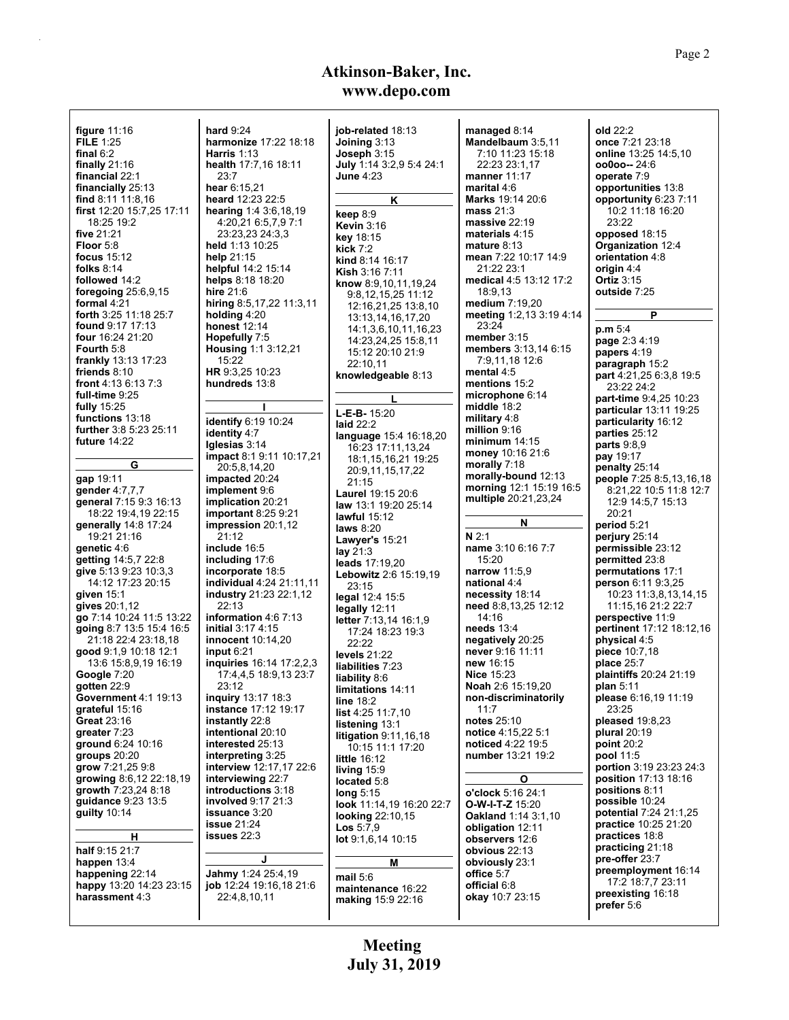| figure $11:16$             | <b>hard 9:24</b>                | job-related 18:13            | managed $8:14$              | old 22:2                        |
|----------------------------|---------------------------------|------------------------------|-----------------------------|---------------------------------|
| <b>FILE 1:25</b>           | harmonize 17:22 18:18           | Joining 3:13                 | Mandelbaum 3:5,11           | once 7:21 23:18                 |
| final $6:2$                | Harris $1:13$                   | Joseph 3:15                  | 7:10 11:23 15:18            | online 13:25 14:5,10            |
|                            |                                 |                              |                             |                                 |
| finally $21:16$            | health 17:7,16 18:11            | July 1:14 3:2,9 5:4 24:1     | 22:23 23:1,17               | $00000 - 24:6$                  |
| financial 22:1             | 23:7                            | <b>June 4:23</b>             | manner 11:17                | operate 7:9                     |
| financially 25:13          | hear 6:15,21                    |                              | marital 4:6                 | opportunities 13:8              |
| find 8:11 11:8.16          | heard 12:23 22:5                | Κ                            | Marks 19:14 20:6            | opportunity 6:23 7:11           |
| first 12:20 15:7,25 17:11  | hearing 1:4 3:6,18,19           |                              | mass $21:3$                 | 10:2 11:18 16:20                |
| 18:25 19:2                 | 4:20,21 6:5,7,9 7:1             | keep 8:9                     | massive $22:19$             | 23:22                           |
|                            |                                 | <b>Kevin 3:16</b>            |                             |                                 |
| five 21:21                 | 23:23.23 24:3.3                 | <b>key</b> 18:15             | materials 4:15              | opposed 18:15                   |
| Floor 5:8                  | held 1:13 10:25                 | kick $7:2$                   | mature $8:13$               | Organization 12:4               |
| focus $15:12$              | help $21:15$                    | kind 8:14 16:17              | mean 7:22 10:17 14:9        | orientation 4:8                 |
| folks $8:14$               | helpful 14:2 15:14              | Kish 3:16 7:11               | 21:22 23:1                  | origin 4:4                      |
| followed 14:2              | helps 8:18 18:20                |                              | medical 4:5 13:12 17:2      | <b>Ortiz 3:15</b>               |
| foregoing $25:6,9,15$      | hire $21:6$                     | know 8:9,10,11,19,24         | 18:9,13                     | outside 7:25                    |
|                            |                                 | 9:8,12,15,25 11:12           |                             |                                 |
| formal 4:21                | hiring $8.5, 17, 22$ 11:3,11    | 12:16,21,25 13:8,10          | medium 7:19,20              |                                 |
| forth 3:25 11:18 25:7      | holding $4:20$                  | 13:13,14,16,17,20            | meeting 1:2,13 3:19 4:14    | P                               |
| <b>found</b> 9:17 17:13    | <b>honest</b> 12:14             | 14:1,3,6,10,11,16,23         | 23:24                       | p.m 5:4                         |
| four 16:24 21:20           | Hopefully 7:5                   | 14:23,24,25 15:8,11          | member 3:15                 | page 2:34:19                    |
| Fourth 5:8                 | <b>Housing</b> $1:13:12,21$     | 15:12 20:10 21:9             | <b>members</b> 3:13,14 6:15 | papers 4:19                     |
| <b>frankly</b> 13:13 17:23 | 15:22                           |                              | 7:9,11,18 12:6              |                                 |
| friends $8:10$             | HR 9:3,25 10:23                 | 22:10,11                     | mental 4:5                  | paragraph 15:2                  |
|                            |                                 | knowledgeable 8:13           |                             | part 4:21,25 6:3,8 19:5         |
| front 4:13 6:13 7:3        | hundreds 13:8                   |                              | mentions 15:2               | 23:22 24:2                      |
| full-time 9:25             |                                 | L                            | microphone 6:14             | part-time 9:4,25 10:23          |
| fully 15:25                |                                 | $L-E-B-15:20$                | middle 18:2                 | <b>particular</b> 13:11 19:25   |
| functions 13:18            | identify 6:19 10:24             |                              | military 4:8                | particularity 16:12             |
| further 3:8 5:23 25:11     | identity 4:7                    | laid $22:2$                  | million 9:16                | parties 25:12                   |
| future 14:22               |                                 | language 15:4 16:18,20       | minimum $14:15$             |                                 |
|                            | Iglesias 3:14                   | 16:23 17:11,13,24            | money 10:16 21:6            | parts $9.8,9$                   |
|                            | impact 8:1 9:11 10:17,21        | 18:1,15,16,21 19:25          |                             | pay 19:17                       |
| G                          | 20:5,8,14,20                    | 20:9,11,15,17,22             | morally 7:18                | penalty 25:14                   |
| gap 19:11                  | impacted 20:24                  | 21:15                        | morally-bound 12:13         | people 7:25 8:5,13,16,18        |
| gender 4:7,7,7             | implement 9:6                   |                              | morning 12:1 15:19 16:5     | 8:21,22 10:5 11:8 12:7          |
| general 7:15 9:3 16:13     | <b>implication</b> 20:21        | Laurel 19:15 20:6            | multiple 20:21,23,24        | 12:9 14:5,7 15:13               |
|                            |                                 | law 13:1 19:20 25:14         |                             | 20:21                           |
| 18:22 19:4,19 22:15        | important $8:259:21$            | lawful $15:12$               | N                           |                                 |
| generally 14:8 17:24       | <b>impression</b> 20:1,12       | laws $8:20$                  |                             | period 5:21                     |
| 19:21 21:16                | 21:12                           | Lawyer's 15:21               | N <sub>2:1</sub>            | perjury 25:14                   |
| genetic 4:6                | include 16:5                    | lay $21:3$                   | name 3:10 6:16 7:7          | permissible 23:12               |
| getting 14:5,7 22:8        | including 17:6                  | leads 17:19,20               | 15:20                       | permitted 23:8                  |
| give 5:13 9:23 10:3,3      | incorporate 18:5                |                              | narrow 11:5,9               | permutations 17:1               |
| 14:12 17:23 20:15          | <b>individual</b> 4:24 21:11,11 | <b>Lebowitz</b> 2:6 15:19,19 | national 4:4                | <b>person</b> $6:11$ $9:3,25$   |
|                            |                                 | 23:15                        |                             |                                 |
| given 15:1                 | industry 21:23 22:1,12          | legal 12:4 15:5              | necessity 18:14             | 10:23 11:3,8,13,14,15           |
| gives 20:1,12              | 22:13                           | legally 12:11                | need 8:8,13,25 12:12        | 11:15.16 21:2 22:7              |
| go 7:14 10:24 11:5 13:22   | information 4:6 7:13            | <b>letter</b> 7:13,14 16:1,9 | 14:16                       | perspective 11:9                |
| going 8:7 13:5 15:4 16:5   | <b>initial</b> 3:17 4:15        | 17:24 18:23 19:3             | needs $13.4$                | <b>pertinent</b> 17:12 18:12,16 |
| 21:18 22:4 23:18,18        | <b>innocent</b> 10:14,20        | 22:22                        | negatively 20:25            | physical 4:5                    |
| good 9:1,9 10:18 12:1      | input $6:21$                    | levels $21:22$               | never 9:16 11:11            | piece 10:7,18                   |
| 13:6 15:8,9,19 16:19       | inquiries 16:14 17:2,2,3        |                              | new 16:15                   | place 25:7                      |
|                            |                                 | liabilities 7:23             |                             |                                 |
| Google 7:20                | 17:4,4,5 18:9,13 23:7           | liability 8:6                | <b>Nice 15:23</b>           | plaintiffs 20:24 21:19          |
| gotten 22.9                | 23:12                           | limitations 14:11            | <b>Noah</b> 2:6 15:19,20    | plan $5:11$                     |
| Government 4:1 19:13       | inquiry 13:17 18:3              | line 18:2                    | non-discriminatorily        | please 6:16,19 11:19            |
| grateful 15:16             | instance 17:12 19:17            | list 4:25 11:7,10            | 11:7                        | 23:25                           |
| Great 23:16                | instantly 22:8                  | listening 13:1               | notes 25:10                 | pleased 19:8,23                 |
| greater 7:23               | intentional 20:10               | litigation 9:11,16,18        | notice 4:15,22 5:1          | plural 20:19                    |
| ground 6:24 10:16          | interested 25:13                |                              | noticed 4:22 19:5           | point $20:2$                    |
| groups $20:20$             | interpreting 3:25               | 10:15 11:1 17:20             | number 13:21 19:2           | pool 11:5                       |
|                            |                                 | little $16:12$               |                             |                                 |
| grow 7:21,25 9:8           | interview 12:17,17 22:6         | living $15:9$                |                             | portion 3:19 23:23 24:3         |
| growing 8:6,12 22:18,19    | interviewing 22:7               | located 5:8                  | О                           | position 17:13 18:16            |
| growth $7:23,248:18$       | introductions 3:18              | long $5:15$                  | o'clock 5:16 24:1           | positions 8:11                  |
| guidance 9:23 13:5         | involved 9:17 21:3              | look 11:14,19 16:20 22:7     | <b>O-W-I-T-Z</b> 15:20      | possible 10:24                  |
| guilty 10:14               | issuance 3:20                   | looking 22:10,15             | Oakland 1:14 3:1,10         | potential 7:24 21:1,25          |
|                            | <b>issue 21:24</b>              |                              |                             | practice 10:25 21:20            |
| н                          | issues 22:3                     | <b>Los</b> $5:7,9$           | obligation 12:11            | practices 18:8                  |
|                            |                                 | lot 9:1,6,14 10:15           | observers 12:6              | practicing 21:18                |
| half 9:15 21:7             |                                 |                              | obvious 22:13               |                                 |
| happen 13:4                | J                               | М                            | obviously 23:1              | pre-offer 23:7                  |
| happening 22:14            | Jahmy 1:24 25:4,19              | mail $5:6$                   | office 5:7                  | preemployment 16:14             |
| happy 13:20 14:23 23:15    | job 12:24 19:16,18 21:6         |                              | official 6:8                | 17:2 18:7,7 23:11               |
| harassment 4:3             | 22:4,8,10,11                    | maintenance 16:22            | okay 10:7 23:15             | preexisting 16:18               |
|                            |                                 | <b>making 15:9 22:16</b>     |                             | prefer 5:6                      |
|                            |                                 |                              |                             |                                 |
|                            |                                 |                              |                             |                                 |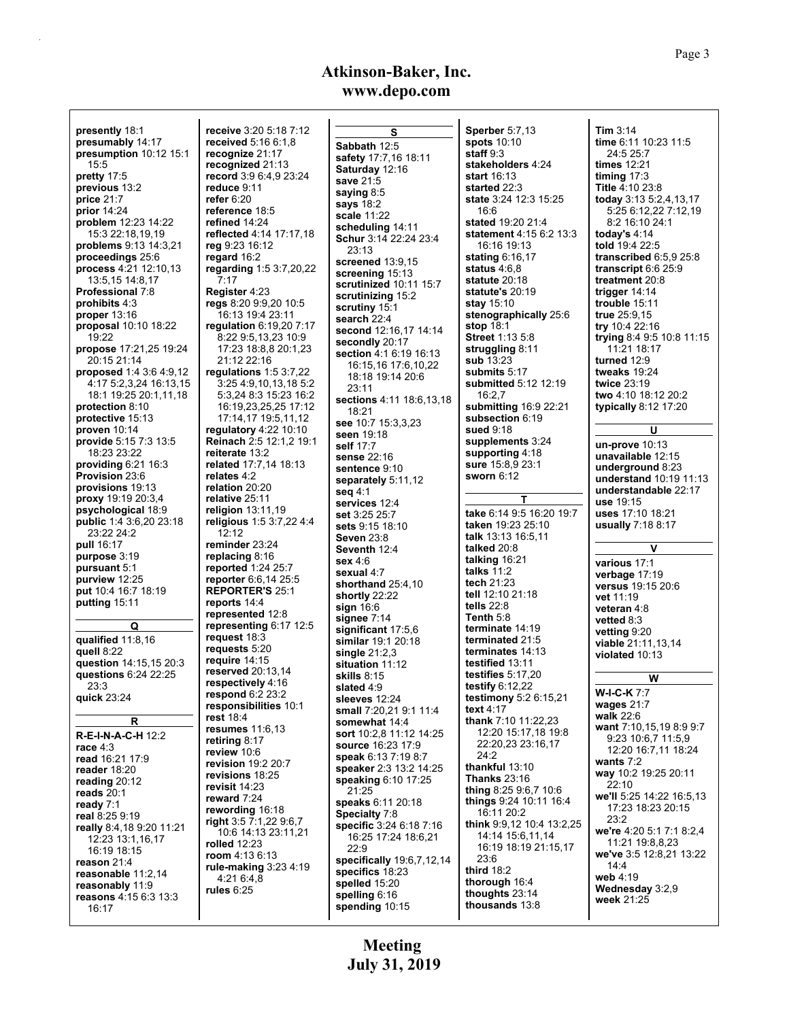| <b>presently</b> 18:1                          | <b>receive</b> 3:20 5:                    |
|------------------------------------------------|-------------------------------------------|
| presumably 14:17                               | received 5:16                             |
| presumption 10:12 15:1                         | recognize 21:1                            |
| 15:5                                           | <b>recognized</b> 21                      |
| pretty 17:5                                    | record 3:9 6:4,                           |
| previous 13:2                                  | reduce 9:11                               |
| price 21:7                                     | refer 6:20                                |
| prior 14:24                                    | reference 18:5                            |
| problem 12:23 14:22                            | refined 14:24                             |
| 15:3 22:18,19,19                               | reflected 4:14                            |
| problems 9:13 14:3,21                          | reg 9:23 16:12                            |
| proceedings 25:6                               | regard 16:2                               |
| process 4:21 12:10.13                          | regarding 1:5                             |
| 13:5,15 14:8,17                                | 7:17                                      |
| <b>Professional 7:8</b>                        | Register 4:23                             |
| prohibits 4:3                                  | regs 8:20 9:9,2                           |
| <b>proper</b> 13:16                            | 16:13 19:42                               |
| <b>proposal</b> 10:10 18:22                    | regulation 6:19                           |
| 19:22                                          | 8:22 9:5,13,2                             |
| propose 17:21,25 19:24                         | 17:23 18:8,8                              |
| 20:15 21:14                                    | 21:12 22:16                               |
| proposed 1:4 3:6 4:9.12                        | regulations 1:                            |
| 4:17 5:2,3,24 16:13,15                         |                                           |
| 18:1 19:25 20:1,11,18                          | 5:3,24 8:3 15                             |
| protection 8:10                                |                                           |
| protective 15:13                               | 16:19,23,25,<br>17:14,17 19:              |
| proven 10:14                                   | regulatory 4:22                           |
| provide 5:15 7:3 13:5                          | Reinach 2:5 12                            |
| 18:23 23:22                                    | reiterate 13:2                            |
|                                                | related 17:7,14                           |
| providing $6:21$ 16:3<br><b>Provision 23:6</b> | relates 4:2                               |
| provisions 19:13                               | relation 20:20                            |
| proxy 19:19 20:3,4                             | relative 25:11                            |
| psychological 18:9                             | religion 13:11,                           |
|                                                |                                           |
|                                                |                                           |
| <b>public</b> 1:4 3:6,20 23:18                 | religious 1:53                            |
| 23:22 24:2                                     | 12:12                                     |
| pull 16:17                                     | reminder 23:24                            |
| purpose 3:19                                   | replacing 8:16                            |
| pursuant 5:1<br>purview 12:25                  | reported 1:24 :<br><b>reporter</b> 6:6,14 |
| put 10:4 16:7 18:19                            | <b>REPORTER'S</b>                         |
|                                                |                                           |
| putting 15:11                                  | reports 14:4<br>represented 1:            |
| Q                                              | representing 6                            |
|                                                | request 18:3                              |
| qualified $11:8,16$                            | requests 5:20                             |
| quell 8:22                                     | require 14:15                             |
| question 14:15,15 20:3                         | reserved 20:13                            |
| questions 6:24 22:25                           | respectively 4                            |
| 23:3                                           | respond 6:2 23                            |
| quick 23:24                                    | responsibilitie                           |
| R                                              | <b>rest</b> 18:4                          |
|                                                | resumes 11:6,                             |
| R-E-I-N-A-C-H 12:2                             | retiring 8:17                             |
| race $4:3$                                     | review 10:6                               |
| read 16:21 17:9                                | revision 19:2 2                           |
| reader 18:20                                   | revisions 18:2                            |
| reading 20:12                                  | revisit 14:23                             |
| reads $20:1$                                   | reward 7:24                               |
| ready 7:1                                      | rewording 16:                             |
| real 8:25 9:19                                 | right 3.5 7:1,22                          |
| really 8:4,18 9:20 11:21                       | 10:6 14:13 2                              |
| 12:23 13:1,16,17<br>16:19 18:15                | rolled 12:23                              |
|                                                | room 4:13 6:13                            |
| reason 21:4                                    | rule-making 3:                            |
| reasonable 11:2,14                             | 4:21 6:4,8                                |
| reasonably 11:9<br>reasons 4:15 6:3 13:3       | rules $6:25$                              |

I

**receive** 3:20 5:18 7:12 **66:1,8 read** 21:17 **recognized** 21:13 **record** 3:9 6:4,9 23:24 **reflected** 4:14 17:17,18 **regarding** 1:5 3:7,20,22 **regs** 8:20 9:9,20 10:5 23:11 **regulation** 6:19,20 7:17 8.23 10:9 17:23 18:8,8 20:1,23 **regulations** 1:5 3:7,22 3:25 4:9,10,13,18 5:2 15:23 16:2 16:19,23,25,25 17:12 9:5,11,12 **regulatory** 4:22 10:10 **Reinach** 2:5 12:1,2 19:1 **related** 17:7,14 18:13 **1,19 religious** 1:5 3:7,22 4:4 **reminder** 23:24 **425:7** 14 25:5 **S** 25:1 12:8 **representing** 6:17 12:5 **13.14 respectively** 4:16 **23:2 ries** 10:1 **resumes** 11:6,13 **20:7 revisions** 18:25 **rewording** 16:18 **right** 3:5 7:1,22 9:6,7 23:11.21 **13 rule-making** 3:23 4:19 **seq** 4:1 **sex** 4:6 22:9

**S Sabbath** 12:5 **safety** 17:7,16 18:11 **Saturday** 12:16 **save** 21:5 **saying** 8:5 **says** 18:2 **scale** 11:22 **scheduling** 14:11 **Schur** 3:14 22:24 23:4 23:13 **screened** 13:9,15 **screening** 15:13 **scrutinized** 10:11 15:7 **scrutinizing** 15:2 **scrutiny** 15:1 **search** 22:4 **second** 12:16,17 14:14 **secondly** 20:17 **section** 4:1 6:19 16:13 16:15,16 17:6,10,22 18:18 19:14 20:6 23:11 **sections** 4:11 18:6,13,18 18:21 **see** 10:7 15:3,3,23 **seen** 19:18 **self** 17:7 **sense** 22:16 **sentence** 9:10 **separately** 5:11,12 **services** 12:4 **set** 3:25 25:7 **sets** 9:15 18:10 **Seven** 23:8 **Seventh** 12:4 **sexual** 4:7 **shorthand** 25:4,10 **shortly** 22:22 **sign** 16:6 **signee** 7:14 **significant** 17:5,6 **similar** 19:1 20:18 **single** 21:2,3 **situation** 11:12 **skills** 8:15 **slated** 4:9 **sleeves** 12:24 **small** 7:20,21 9:1 11:4 **somewhat** 14:4 **sort** 10:2,8 11:12 14:25 **source** 16:23 17:9 **speak** 6:13 7:19 8:7 **speaker** 2:3 13:2 14:25 **speaking** 6:10 17:25 21:25 **speaks** 6:11 20:18 **Specialty** 7:8 **specific** 3:24 6:18 7:16 16:25 17:24 18:6,21 **specifically** 19:6,7,12,14 **specifics** 18:23 **spelled** 15:20 **spelling** 6:16 **spending** 10:15

**Sperber** 5:7,13 **spots** 10:10 **staff** 9:3 **stakeholders** 4:24 **start** 16:13 **started** 22:3 **state** 3:24 12:3 15:25 16:6 **stated** 19:20 21:4 **statement** 4:15 6:2 13:3 16:16 19:13 **stating** 6:16,17 **status** 4:6,8 **statute** 20:18 **statute's** 20:19 **stay** 15:10 **stenographically** 25:6 **stop** 18:1 **Street** 1:13 5:8 **struggling** 8:11 **sub** 13:23 **submits** 5:17 **submitted** 5:12 12:19 16:2,7 **submitting** 16:9 22:21 **subsection** 6:19 **sued** 9:18 **supplements** 3:24 **supporting** 4:18 **sure** 15:8,9 23:1 **sworn** 6:12 **T take** 6:14 9:5 16:20 19:7 **taken** 19:23 25:10 **talk** 13:13 16:5,11 **talked** 20:8 **talking** 16:21 **talks** 11:2 **tech** 21:23 **tell** 12:10 21:18 **tells** 22:8 **Tenth** 5:8 **terminate** 14:19 **terminated** 21:5 **terminates** 14:13 **testified** 13:11 **testifies** 5:17,20 **testify** 6:12,22 **testimony** 5:2 6:15,21 **text** 4:17 **thank** 7:10 11:22,23 12:20 15:17,18 19:8 22:20,23 23:16,17 24:2 **thankful** 13:10 **Thanks** 23:16 **thing** 8:25 9:6,7 10:6 **things** 9:24 10:11 16:4 16:11 20:2 **think** 9:9,12 10:4 13:2,25 14:14 15:6,11,14 16:19 18:19 21:15,17 23:6 **third** 18:2 **thorough** 16:4 **thoughts** 23:14 **thousands** 13:8

**Tim** 3:14 **time** 6:11 10:23 11:5 24:5 25:7 **times** 12:21 **timing** 17:3 **Title** 4:10 23:8 **today** 3:13 5:2,4,13,17 5:25 6:12,22 7:12,19 8:2 16:10 24:1 **today's** 4:14 **told** 19:4 22:5 **transcribed** 6:5,9 25:8 **transcript** 6:6 25:9 **treatment** 20:8 **trigger** 14:14 **trouble** 15:11 **true** 25:9,15 **try** 10:4 22:16 **trying** 8:4 9:5 10:8 11:15 11:21 18:17 **turned** 12:9 **tweaks** 19:24 **twice** 23:19 **two** 4:10 18:12 20:2 **typically** 8:12 17:20 **U un-prove** 10:13 **unavailable** 12:15 **underground** 8:23 **understand** 10:19 11:13 **understandable** 22:17 **use** 19:15 **uses** 17:10 18:21 **usually** 7:18 8:17 **V various** 17:1 **verbage** 17:19 **versus** 19:15 20:6 **vet** 11:19 **veteran** 4:8 **vetted** 8:3 **vetting** 9:20 **viable** 21:11,13,14 **violated** 10:13 **W W-I-C-K** 7:7 **wages** 21:7 **walk** 22:6 **want** 7:10,15,19 8:9 9:7 9:23 10:6,7 11:5,9 12:20 16:7,11 18:24 **wants** 7:2 **way** 10:2 19:25 20:11 22:10 **we'll** 5:25 14:22 16:5,13 17:23 18:23 20:15 23:2 **we're** 4:20 5:1 7:1 8:2,4 11:21 19:8,8,23 **we've** 3:5 12:8,21 13:22 14:4 **web** 4:19 **Wednesday** 3:2,9 **week** 21:25